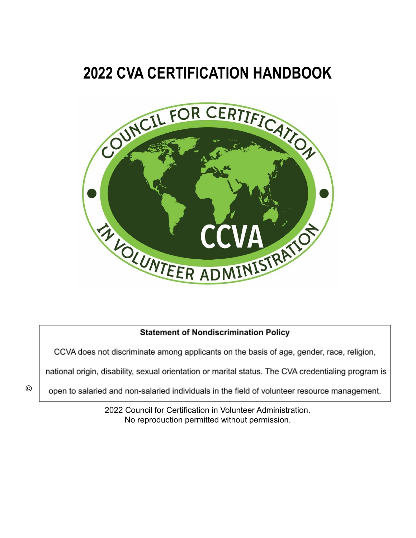# **2022 CVA CERTIFICATION HANDBOOK**



# **Statement of Nondiscrimination Policy**

CCVA does not discriminate among applicants on the basis of age, gender, race, religion,

national origin, disability, sexual orientation or marital status. The CVA credentialing program is

open to salaried and non-salaried individuals in the field of volunteer resource management.

2022 Council for Certification in Volunteer Administration. No reproduction permitted without permission.

©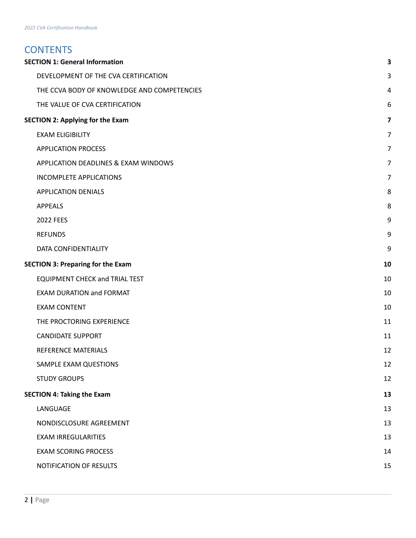# **CONTENTS**

|                                          | <b>SECTION 1: General Information</b>       | 3              |
|------------------------------------------|---------------------------------------------|----------------|
|                                          | DEVELOPMENT OF THE CVA CERTIFICATION        | 3              |
|                                          | THE CCVA BODY OF KNOWLEDGE AND COMPETENCIES | 4              |
|                                          | THE VALUE OF CVA CERTIFICATION              | 6              |
| <b>SECTION 2: Applying for the Exam</b>  |                                             | 7              |
|                                          | <b>EXAM ELIGIBILITY</b>                     | $\overline{7}$ |
|                                          | <b>APPLICATION PROCESS</b>                  | $\overline{7}$ |
|                                          | APPLICATION DEADLINES & EXAM WINDOWS        | $\overline{7}$ |
|                                          | <b>INCOMPLETE APPLICATIONS</b>              | 7              |
|                                          | <b>APPLICATION DENIALS</b>                  | 8              |
|                                          | <b>APPEALS</b>                              | 8              |
|                                          | <b>2022 FEES</b>                            | 9              |
|                                          | <b>REFUNDS</b>                              | 9              |
|                                          | DATA CONFIDENTIALITY                        | 9              |
| <b>SECTION 3: Preparing for the Exam</b> |                                             | 10             |
|                                          | <b>EQUIPMENT CHECK and TRIAL TEST</b>       | 10             |
|                                          | <b>EXAM DURATION and FORMAT</b>             | 10             |
|                                          | <b>EXAM CONTENT</b>                         | 10             |
|                                          | THE PROCTORING EXPERIENCE                   | 11             |
|                                          | <b>CANDIDATE SUPPORT</b>                    | 11             |
|                                          | REFERENCE MATERIALS                         | 12             |
|                                          | SAMPLE EXAM QUESTIONS                       | 12             |
|                                          | <b>STUDY GROUPS</b>                         | 12             |
| <b>SECTION 4: Taking the Exam</b>        |                                             | 13             |
|                                          | LANGUAGE                                    | 13             |
|                                          | NONDISCLOSURE AGREEMENT                     | 13             |
|                                          | <b>EXAM IRREGULARITIES</b>                  | 13             |
|                                          | <b>EXAM SCORING PROCESS</b>                 | 14             |
|                                          | NOTIFICATION OF RESULTS                     | 15             |
|                                          |                                             |                |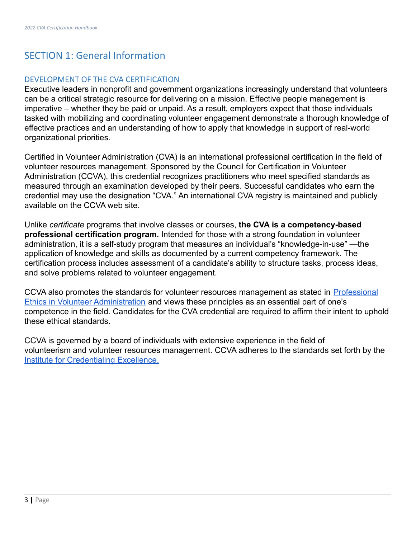# <span id="page-2-0"></span>SECTION 1: General Information

#### <span id="page-2-1"></span>DEVELOPMENT OF THE CVA CERTIFICATION

Executive leaders in nonprofit and government organizations increasingly understand that volunteers can be a critical strategic resource for delivering on a mission. Effective people management is imperative – whether they be paid or unpaid. As a result, employers expect that those individuals tasked with mobilizing and coordinating volunteer engagement demonstrate a thorough knowledge of effective practices and an understanding of how to apply that knowledge in support of real-world organizational priorities.

Certified in Volunteer Administration (CVA) is an international professional certification in the field of volunteer resources management. Sponsored by the Council for Certification in Volunteer Administration (CCVA), this credential recognizes practitioners who meet specified standards as measured through an examination developed by their peers. Successful candidates who earn the credential may use the designation "CVA." An international CVA registry is maintained and publicly available on the CCVA web site.

Unlike *certificate* programs that involve classes or courses, **the CVA is a competency-based professional certification program.** Intended for those with a strong foundation in volunteer administration, it is a self-study program that measures an individual's "knowledge-in-use" —the application of knowledge and skills as documented by a current competency framework. The certification process includes assessment of a candidate's ability to structure tasks, process ideas, and solve problems related to volunteer engagement.

CCVA also promotes the standards for volunteer resources management as stated in [Professional](https://cvacert.org/professional-ethics/) [Ethics in Volunteer Administration](https://cvacert.org/professional-ethics/) and views these principles as an essential part of one's competence in the field. Candidates for the CVA credential are required to affirm their intent to uphold these ethical standards.

CCVA is governed by a board of individuals with extensive experience in the field of volunteerism and volunteer resources management. CCVA adheres to the standards set forth by the [Institute for Credentialing Excellence.](https://www.credentialingexcellence.org/)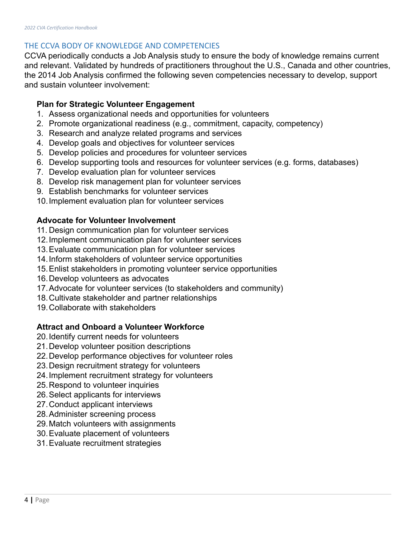### <span id="page-3-0"></span>THE CCVA BODY OF KNOWLEDGE AND COMPETENCIES

CCVA periodically conducts a Job Analysis study to ensure the body of knowledge remains current and relevant. Validated by hundreds of practitioners throughout the U.S., Canada and other countries, the 2014 Job Analysis confirmed the following seven competencies necessary to develop, support and sustain volunteer involvement:

## **Plan for Strategic Volunteer Engagement**

- 1. Assess organizational needs and opportunities for volunteers
- 2. Promote organizational readiness (e.g., commitment, capacity, competency)
- 3. Research and analyze related programs and services
- 4. Develop goals and objectives for volunteer services
- 5. Develop policies and procedures for volunteer services
- 6. Develop supporting tools and resources for volunteer services (e.g. forms, databases)
- 7. Develop evaluation plan for volunteer services
- 8. Develop risk management plan for volunteer services
- 9. Establish benchmarks for volunteer services
- 10.Implement evaluation plan for volunteer services

# **Advocate for Volunteer Involvement**

- 11. Design communication plan for volunteer services
- 12.Implement communication plan for volunteer services
- 13.Evaluate communication plan for volunteer services
- 14.Inform stakeholders of volunteer service opportunities
- 15.Enlist stakeholders in promoting volunteer service opportunities
- 16.Develop volunteers as advocates
- 17.Advocate for volunteer services (to stakeholders and community)
- 18.Cultivate stakeholder and partner relationships
- 19.Collaborate with stakeholders

# **Attract and Onboard a Volunteer Workforce**

- 20.Identify current needs for volunteers
- 21.Develop volunteer position descriptions
- 22.Develop performance objectives for volunteer roles
- 23.Design recruitment strategy for volunteers
- 24.Implement recruitment strategy for volunteers
- 25.Respond to volunteer inquiries
- 26.Select applicants for interviews
- 27.Conduct applicant interviews
- 28.Administer screening process
- 29.Match volunteers with assignments
- 30.Evaluate placement of volunteers
- 31.Evaluate recruitment strategies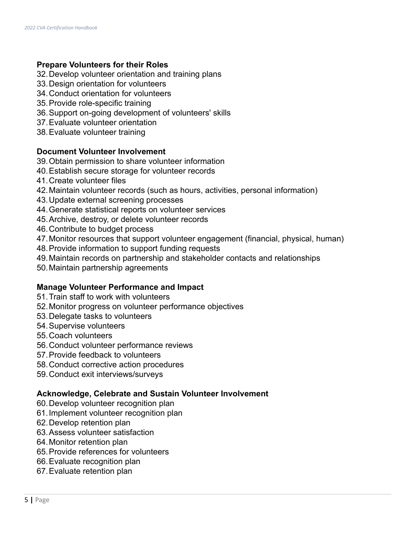# **Prepare Volunteers for their Roles**

- 32.Develop volunteer orientation and training plans
- 33.Design orientation for volunteers
- 34.Conduct orientation for volunteers
- 35.Provide role-specific training
- 36.Support on-going development of volunteers' skills
- 37.Evaluate volunteer orientation
- 38.Evaluate volunteer training

## **Document Volunteer Involvement**

- 39.Obtain permission to share volunteer information
- 40.Establish secure storage for volunteer records
- 41.Create volunteer files
- 42.Maintain volunteer records (such as hours, activities, personal information)
- 43.Update external screening processes
- 44.Generate statistical reports on volunteer services
- 45.Archive, destroy, or delete volunteer records
- 46.Contribute to budget process
- 47.Monitor resources that support volunteer engagement (financial, physical, human)
- 48.Provide information to support funding requests
- 49.Maintain records on partnership and stakeholder contacts and relationships
- 50.Maintain partnership agreements

# **Manage Volunteer Performance and Impact**

- 51.Train staff to work with volunteers
- 52.Monitor progress on volunteer performance objectives
- 53.Delegate tasks to volunteers
- 54.Supervise volunteers
- 55.Coach volunteers
- 56.Conduct volunteer performance reviews
- 57.Provide feedback to volunteers
- 58.Conduct corrective action procedures
- 59.Conduct exit interviews/surveys

#### **Acknowledge, Celebrate and Sustain Volunteer Involvement**

- 60.Develop volunteer recognition plan
- 61.Implement volunteer recognition plan
- 62.Develop retention plan
- 63.Assess volunteer satisfaction
- 64.Monitor retention plan
- 65.Provide references for volunteers
- 66.Evaluate recognition plan
- 67.Evaluate retention plan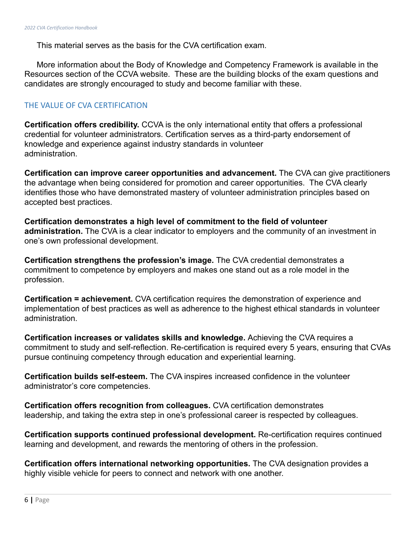This material serves as the basis for the CVA certification exam.

More information about the Body of Knowledge and Competency Framework is available in the Resources section of the CCVA website. These are the building blocks of the exam questions and candidates are strongly encouraged to study and become familiar with these.

### <span id="page-5-0"></span>THE VALUE OF CVA CERTIFICATION

**Certification offers credibility.** CCVA is the only international entity that offers a professional credential for volunteer administrators. Certification serves as a third-party endorsement of knowledge and experience against industry standards in volunteer administration.

**Certification can improve career opportunities and advancement.** The CVA can give practitioners the advantage when being considered for promotion and career opportunities. The CVA clearly identifies those who have demonstrated mastery of volunteer administration principles based on accepted best practices.

**Certification demonstrates a high level of commitment to the field of volunteer administration.** The CVA is a clear indicator to employers and the community of an investment in one's own professional development.

**Certification strengthens the profession's image.** The CVA credential demonstrates a commitment to competence by employers and makes one stand out as a role model in the profession.

**Certification = achievement.** CVA certification requires the demonstration of experience and implementation of best practices as well as adherence to the highest ethical standards in volunteer administration.

**Certification increases or validates skills and knowledge.** Achieving the CVA requires a commitment to study and self-reflection. Re-certification is required every 5 years, ensuring that CVAs pursue continuing competency through education and experiential learning.

**Certification builds self-esteem.** The CVA inspires increased confidence in the volunteer administrator's core competencies.

**Certification offers recognition from colleagues.** CVA certification demonstrates leadership, and taking the extra step in one's professional career is respected by colleagues.

**Certification supports continued professional development.** Re-certification requires continued learning and development, and rewards the mentoring of others in the profession.

**Certification offers international networking opportunities.** The CVA designation provides a highly visible vehicle for peers to connect and network with one another.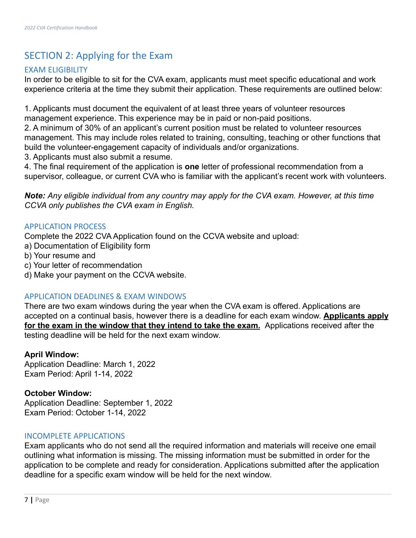# <span id="page-6-0"></span>SECTION 2: Applying for the Exam

# <span id="page-6-1"></span>EXAM ELIGIBILITY

In order to be eligible to sit for the CVA exam, applicants must meet specific educational and work experience criteria at the time they submit their application. These requirements are outlined below:

1. Applicants must document the equivalent of at least three years of volunteer resources management experience. This experience may be in paid or non-paid positions.

2. A minimum of 30% of an applicant's current position must be related to volunteer resources management. This may include roles related to training, consulting, teaching or other functions that build the volunteer-engagement capacity of individuals and/or organizations.

3. Applicants must also submit a resume.

4. The final requirement of the application is **one** letter of professional recommendation from a supervisor, colleague, or current CVA who is familiar with the applicant's recent work with volunteers.

*Note: Any eligible individual from any country may apply for the CVA exam. However, at this time CCVA only publishes the CVA exam in English.*

# <span id="page-6-2"></span>APPLICATION PROCESS

Complete the 2022 CVA Application found on the CCVA website and upload:

- a) Documentation of Eligibility form
- b) Your resume and
- c) Your letter of recommendation
- d) Make your payment on the CCVA website.

# <span id="page-6-3"></span>APPLICATION DEADLINES & EXAM WINDOWS

There are two exam windows during the year when the CVA exam is offered. Applications are accepted on a continual basis, however there is a deadline for each exam window. **Applicants apply for the exam in the window that they intend to take the exam.** Applications received after the testing deadline will be held for the next exam window.

# **April Window:**

Application Deadline: March 1, 2022 Exam Period: April 1-14, 2022

# **October Window:**

Application Deadline: September 1, 2022 Exam Period: October 1-14, 2022

# <span id="page-6-4"></span>INCOMPLETE APPLICATIONS

Exam applicants who do not send all the required information and materials will receive one email outlining what information is missing. The missing information must be submitted in order for the application to be complete and ready for consideration. Applications submitted after the application deadline for a specific exam window will be held for the next window.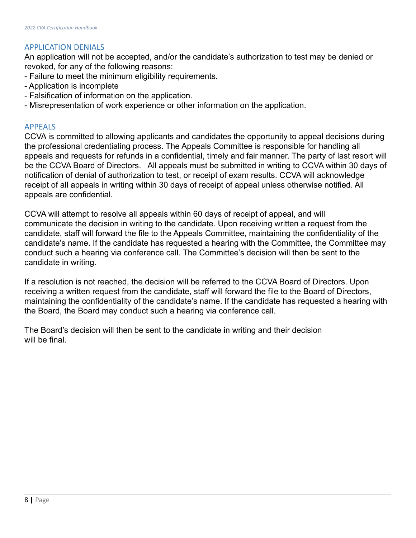## <span id="page-7-0"></span>APPLICATION DENIALS

An application will not be accepted, and/or the candidate's authorization to test may be denied or revoked, for any of the following reasons:

- Failure to meet the minimum eligibility requirements.
- Application is incomplete
- Falsification of information on the application.
- Misrepresentation of work experience or other information on the application.

#### <span id="page-7-1"></span>APPEALS

CCVA is committed to allowing applicants and candidates the opportunity to appeal decisions during the professional credentialing process. The Appeals Committee is responsible for handling all appeals and requests for refunds in a confidential, timely and fair manner. The party of last resort will be the CCVA Board of Directors. All appeals must be submitted in writing to CCVA within 30 days of notification of denial of authorization to test, or receipt of exam results. CCVA will acknowledge receipt of all appeals in writing within 30 days of receipt of appeal unless otherwise notified. All appeals are confidential.

CCVA will attempt to resolve all appeals within 60 days of receipt of appeal, and will communicate the decision in writing to the candidate. Upon receiving written a request from the candidate, staff will forward the file to the Appeals Committee, maintaining the confidentiality of the candidate's name. If the candidate has requested a hearing with the Committee, the Committee may conduct such a hearing via conference call. The Committee's decision will then be sent to the candidate in writing.

If a resolution is not reached, the decision will be referred to the CCVA Board of Directors. Upon receiving a written request from the candidate, staff will forward the file to the Board of Directors, maintaining the confidentiality of the candidate's name. If the candidate has requested a hearing with the Board, the Board may conduct such a hearing via conference call.

The Board's decision will then be sent to the candidate in writing and their decision will be final.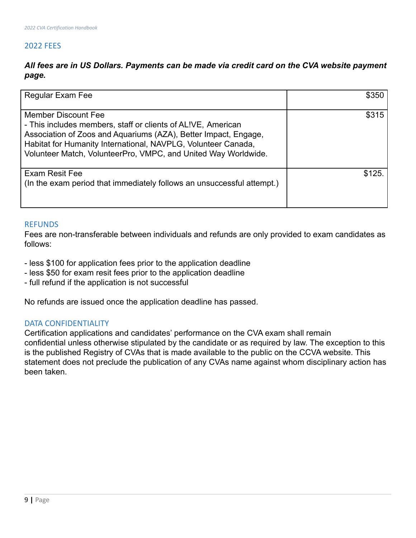# <span id="page-8-0"></span>2022 FEES

# *All fees are in US Dollars. Payments can be made via credit card on the CVA website payment page.*

| Regular Exam Fee                                                                                                                                                                                                                                                                          | \$350  |
|-------------------------------------------------------------------------------------------------------------------------------------------------------------------------------------------------------------------------------------------------------------------------------------------|--------|
| Member Discount Fee<br>- This includes members, staff or clients of ALIVE, American<br>Association of Zoos and Aquariums (AZA), Better Impact, Engage,<br>Habitat for Humanity International, NAVPLG, Volunteer Canada,<br>Volunteer Match, VolunteerPro, VMPC, and United Way Worldwide. | \$315  |
| <b>Exam Resit Fee</b><br>(In the exam period that immediately follows an unsuccessful attempt.)                                                                                                                                                                                           | \$125. |

#### <span id="page-8-1"></span>**REFUNDS**

Fees are non-transferable between individuals and refunds are only provided to exam candidates as follows:

- less \$100 for application fees prior to the application deadline
- less \$50 for exam resit fees prior to the application deadline
- full refund if the application is not successful

No refunds are issued once the application deadline has passed.

#### <span id="page-8-2"></span>DATA CONFIDENTIALITY

Certification applications and candidates' performance on the CVA exam shall remain confidential unless otherwise stipulated by the candidate or as required by law. The exception to this is the published Registry of CVAs that is made available to the public on the CCVA website. This statement does not preclude the publication of any CVAs name against whom disciplinary action has been taken.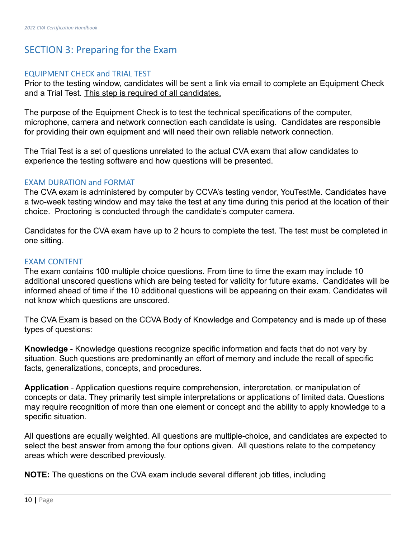# <span id="page-9-0"></span>SECTION 3: Preparing for the Exam

#### <span id="page-9-1"></span>EQUIPMENT CHECK and TRIAL TEST

Prior to the testing window, candidates will be sent a link via email to complete an Equipment Check and a Trial Test. This step is required of all candidates.

The purpose of the Equipment Check is to test the technical specifications of the computer, microphone, camera and network connection each candidate is using. Candidates are responsible for providing their own equipment and will need their own reliable network connection.

The Trial Test is a set of questions unrelated to the actual CVA exam that allow candidates to experience the testing software and how questions will be presented.

#### <span id="page-9-2"></span>EXAM DURATION and FORMAT

The CVA exam is administered by computer by CCVA's testing vendor, YouTestMe. Candidates have a two-week testing window and may take the test at any time during this period at the location of their choice. Proctoring is conducted through the candidate's computer camera.

Candidates for the CVA exam have up to 2 hours to complete the test. The test must be completed in one sitting.

#### <span id="page-9-3"></span>EXAM CONTENT

The exam contains 100 multiple choice questions. From time to time the exam may include 10 additional unscored questions which are being tested for validity for future exams. Candidates will be informed ahead of time if the 10 additional questions will be appearing on their exam. Candidates will not know which questions are unscored.

The CVA Exam is based on the CCVA Body of Knowledge and Competency and is made up of these types of questions:

**Knowledge** - Knowledge questions recognize specific information and facts that do not vary by situation. Such questions are predominantly an effort of memory and include the recall of specific facts, generalizations, concepts, and procedures.

**Application** - Application questions require comprehension, interpretation, or manipulation of concepts or data. They primarily test simple interpretations or applications of limited data. Questions may require recognition of more than one element or concept and the ability to apply knowledge to a specific situation.

All questions are equally weighted. All questions are multiple-choice, and candidates are expected to select the best answer from among the four options given. All questions relate to the competency areas which were described previously.

**NOTE:** The questions on the CVA exam include several different job titles, including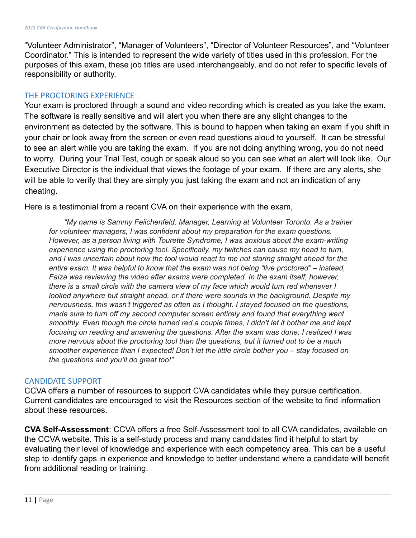"Volunteer Administrator", "Manager of Volunteers", "Director of Volunteer Resources", and "Volunteer Coordinator." This is intended to represent the wide variety of titles used in this profession. For the purposes of this exam, these job titles are used interchangeably, and do not refer to specific levels of responsibility or authority.

#### <span id="page-10-0"></span>THE PROCTORING EXPERIENCE

Your exam is proctored through a sound and video recording which is created as you take the exam. The software is really sensitive and will alert you when there are any slight changes to the environment as detected by the software. This is bound to happen when taking an exam if you shift in your chair or look away from the screen or even read questions aloud to yourself. It can be stressful to see an alert while you are taking the exam. If you are not doing anything wrong, you do not need to worry. During your Trial Test, cough or speak aloud so you can see what an alert will look like. Our Executive Director is the individual that views the footage of your exam. If there are any alerts, she will be able to verify that they are simply you just taking the exam and not an indication of any cheating.

Here is a testimonial from a recent CVA on their experience with the exam,

*"My name is Sammy Feilchenfeld, Manager, Learning at Volunteer Toronto. As a trainer for volunteer managers, I was confident about my preparation for the exam questions. However, as a person living with Tourette Syndrome, I was anxious about the exam-writing experience using the proctoring tool. Specifically, my twitches can cause my head to turn, and I was uncertain about how the tool would react to me not staring straight ahead for the entire exam. It was helpful to know that the exam was not being "live proctored" – instead, Faiza was reviewing the video after exams were completed. In the exam itself, however, there is a small circle with the camera view of my face which would turn red whenever I looked anywhere but straight ahead, or if there were sounds in the background. Despite my nervousness, this wasn't triggered as often as I thought. I stayed focused on the questions, made sure to turn off my second computer screen entirely and found that everything went smoothly. Even though the circle turned red a couple times, I didn't let it bother me and kept focusing on reading and answering the questions. After the exam was done, I realized I was more nervous about the proctoring tool than the questions, but it turned out to be a much smoother experience than I expected! Don't let the little circle bother you – stay focused on the questions and you'll do great too!"*

#### <span id="page-10-1"></span>CANDIDATE SUPPORT

CCVA offers a number of resources to support CVA candidates while they pursue certification. Current candidates are encouraged to visit the Resources section of the website to find information about these resources.

**CVA Self-Assessment**: CCVA offers a free Self-Assessment tool to all CVA candidates, available on the CCVA website. This is a self-study process and many candidates find it helpful to start by evaluating their level of knowledge and experience with each competency area. This can be a useful step to identify gaps in experience and knowledge to better understand where a candidate will benefit from additional reading or training.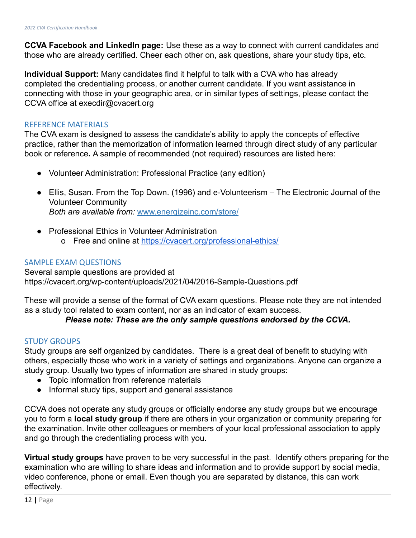**CCVA Facebook and LinkedIn page:** Use these as a way to connect with current candidates and those who are already certified. Cheer each other on, ask questions, share your study tips, etc.

**Individual Support:** Many candidates find it helpful to talk with a CVA who has already completed the credentialing process, or another current candidate. If you want assistance in connecting with those in your geographic area, or in similar types of settings, please contact the CCVA office at execdir@cvacert.org

#### <span id="page-11-0"></span>REFERENCE MATERIALS

The CVA exam is designed to assess the candidate's ability to apply the concepts of effective practice, rather than the memorization of information learned through direct study of any particular book or reference**.** A sample of recommended (not required) resources are listed here:

- *●* Volunteer Administration: Professional Practice (any edition)
- Ellis, Susan. From the Top Down. (1996) and e-Volunteerism The Electronic Journal of the Volunteer Community *Both are available from:* [www.energizeinc.com/store/](http://www.energizeinc.com/store/)
- Professional Ethics in Volunteer Administration o Free and online at <https://cvacert.org/professional-ethics/>

#### <span id="page-11-1"></span>SAMPLE EXAM QUESTIONS

Several sample questions are provided at https://cvacert.org/wp-content/uploads/2021/04/2016-Sample-Questions.pdf

These will provide a sense of the format of CVA exam questions. Please note they are not intended as a study tool related to exam content, nor as an indicator of exam success.

# *Please note: These are the only sample questions endorsed by the CCVA.*

#### <span id="page-11-2"></span>STUDY GROUPS

Study groups are self organized by candidates. There is a great deal of benefit to studying with others, especially those who work in a variety of settings and organizations. Anyone can organize a study group. Usually two types of information are shared in study groups:

- Topic information from reference materials
- Informal study tips, support and general assistance

CCVA does not operate any study groups or officially endorse any study groups but we encourage you to form a **local study group** if there are others in your organization or community preparing for the examination. Invite other colleagues or members of your local professional association to apply and go through the credentialing process with you.

**Virtual study groups** have proven to be very successful in the past. Identify others preparing for the examination who are willing to share ideas and information and to provide support by social media, video conference, phone or email. Even though you are separated by distance, this can work effectively.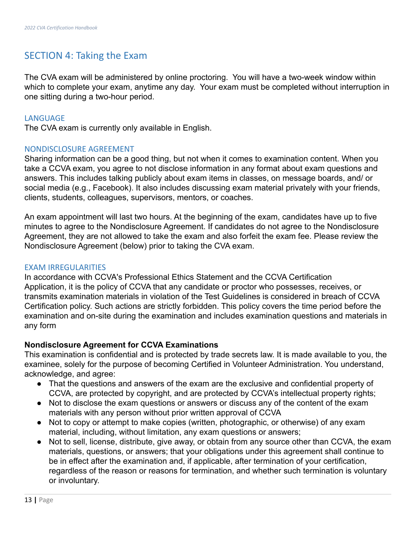# <span id="page-12-0"></span>SECTION 4: Taking the Exam

The CVA exam will be administered by online proctoring. You will have a two-week window within which to complete your exam, anytime any day. Your exam must be completed without interruption in one sitting during a two-hour period.

#### <span id="page-12-1"></span>**LANGUAGE**

The CVA exam is currently only available in English.

#### <span id="page-12-2"></span>NONDISCLOSURE AGREEMENT

Sharing information can be a good thing, but not when it comes to examination content. When you take a CCVA exam, you agree to not disclose information in any format about exam questions and answers. This includes talking publicly about exam items in classes, on message boards, and/ or social media (e.g., Facebook). It also includes discussing exam material privately with your friends, clients, students, colleagues, supervisors, mentors, or coaches.

An exam appointment will last two hours. At the beginning of the exam, candidates have up to five minutes to agree to the Nondisclosure Agreement. If candidates do not agree to the Nondisclosure Agreement, they are not allowed to take the exam and also forfeit the exam fee. Please review the Nondisclosure Agreement (below) prior to taking the CVA exam.

#### <span id="page-12-3"></span>EXAM IRREGULARITIES

In accordance with CCVA's Professional Ethics Statement and the CCVA Certification Application, it is the policy of CCVA that any candidate or proctor who possesses, receives, or transmits examination materials in violation of the Test Guidelines is considered in breach of CCVA Certification policy. Such actions are strictly forbidden. This policy covers the time period before the examination and on-site during the examination and includes examination questions and materials in any form

#### **Nondisclosure Agreement for CCVA Examinations**

This examination is confidential and is protected by trade secrets law. It is made available to you, the examinee, solely for the purpose of becoming Certified in Volunteer Administration. You understand, acknowledge, and agree:

- That the questions and answers of the exam are the exclusive and confidential property of CCVA, are protected by copyright, and are protected by CCVA's intellectual property rights;
- Not to disclose the exam questions or answers or discuss any of the content of the exam materials with any person without prior written approval of CCVA
- Not to copy or attempt to make copies (written, photographic, or otherwise) of any exam material, including, without limitation, any exam questions or answers;
- Not to sell, license, distribute, give away, or obtain from any source other than CCVA, the exam materials, questions, or answers; that your obligations under this agreement shall continue to be in effect after the examination and, if applicable, after termination of your certification, regardless of the reason or reasons for termination, and whether such termination is voluntary or involuntary.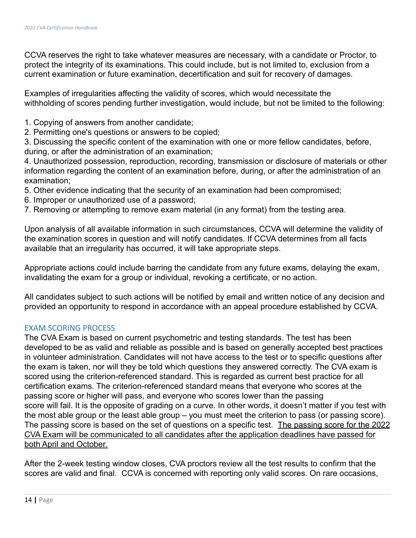CCVA reserves the right to take whatever measures are necessary, with a candidate or Proctor, to protect the integrity of its examinations. This could include, but is not limited to, exclusion from a current examination or future examination, decertification and suit for recovery of damages.

Examples of irregularities affecting the validity of scores, which would necessitate the withholding of scores pending further investigation, would include, but not be limited to the following:

- 1. Copying of answers from another candidate;
- 2. Permitting one's questions or answers to be copied;

3. Discussing the specific content of the examination with one or more fellow candidates, before, during, or after the administration of an examination;

4. Unauthorized possession, reproduction, recording, transmission or disclosure of materials or other information regarding the content of an examination before, during, or after the administration of an examination;

- 5. Other evidence indicating that the security of an examination had been compromised;
- 6. Improper or unauthorized use of a password;
- 7. Removing or attempting to remove exam material (in any format) from the testing area.

Upon analysis of all available information in such circumstances, CCVA will determine the validity of the examination scores in question and will notify candidates. If CCVA determines from all facts available that an irregularity has occurred, it will take appropriate steps.

Appropriate actions could include barring the candidate from any future exams, delaying the exam, invalidating the exam for a group or individual, revoking a certificate, or no action.

All candidates subject to such actions will be notified by email and written notice of any decision and provided an opportunity to respond in accordance with an appeal procedure established by CCVA.

#### <span id="page-13-0"></span>EXAM SCORING PROCESS

The CVA Exam is based on current psychometric and testing standards. The test has been developed to be as valid and reliable as possible and is based on generally accepted best practices in volunteer administration. Candidates will not have access to the test or to specific questions after the exam is taken, nor will they be told which questions they answered correctly. The CVA exam is scored using the criterion-referenced standard. This is regarded as current best practice for all certification exams. The criterion-referenced standard means that everyone who scores at the passing score or higher will pass, and everyone who scores lower than the passing score will fail. It is the opposite of grading on a curve. In other words, it doesn't matter if you test with the most able group or the least able group – you must meet the criterion to pass (or passing score). The passing score is based on the set of questions on a specific test. The passing score for the 2022 CVA Exam will be communicated to all candidates after the application deadlines have passed for both April and October.

After the 2-week testing window closes, CVA proctors review all the test results to confirm that the scores are valid and final. CCVA is concerned with reporting only valid scores. On rare occasions,